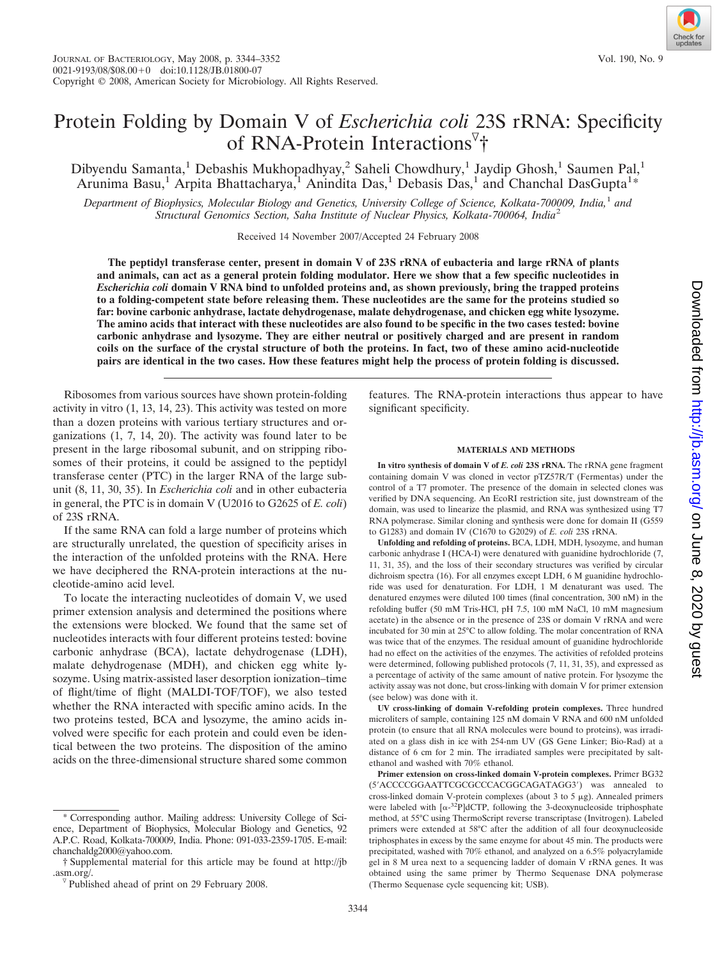# Protein Folding by Domain V of *Escherichia coli* 23S rRNA: Specificity of RNA-Protein Interactions<sup>7</sup>†

Dibyendu Samanta,<sup>1</sup> Debashis Mukhopadhyay,<sup>2</sup> Saheli Chowdhury,<sup>1</sup> Jaydip Ghosh,<sup>1</sup> Saumen Pal,<sup>1</sup> Arunima Basu,<sup>1</sup> Arpita Bhattacharya,<sup>1</sup> Anindita Das,<sup>1</sup> Debasis Das,<sup>1</sup> and Chanchal DasGupta<sup>1\*</sup>

*Department of Biophysics, Molecular Biology and Genetics, University College of Science, Kolkata-700009, India,*<sup>1</sup> *and Structural Genomics Section, Saha Institute of Nuclear Physics, Kolkata-700064, India*<sup>2</sup>

Received 14 November 2007/Accepted 24 February 2008

**The peptidyl transferase center, present in domain V of 23S rRNA of eubacteria and large rRNA of plants and animals, can act as a general protein folding modulator. Here we show that a few specific nucleotides in** *Escherichia coli* **domain V RNA bind to unfolded proteins and, as shown previously, bring the trapped proteins to a folding-competent state before releasing them. These nucleotides are the same for the proteins studied so far: bovine carbonic anhydrase, lactate dehydrogenase, malate dehydrogenase, and chicken egg white lysozyme. The amino acids that interact with these nucleotides are also found to be specific in the two cases tested: bovine carbonic anhydrase and lysozyme. They are either neutral or positively charged and are present in random coils on the surface of the crystal structure of both the proteins. In fact, two of these amino acid-nucleotide pairs are identical in the two cases. How these features might help the process of protein folding is discussed.**

Ribosomes from various sources have shown protein-folding activity in vitro (1, 13, 14, 23). This activity was tested on more than a dozen proteins with various tertiary structures and organizations (1, 7, 14, 20). The activity was found later to be present in the large ribosomal subunit, and on stripping ribosomes of their proteins, it could be assigned to the peptidyl transferase center (PTC) in the larger RNA of the large subunit (8, 11, 30, 35). In *Escherichia coli* and in other eubacteria in general, the PTC is in domain V (U2016 to G2625 of *E. coli*) of 23S rRNA.

If the same RNA can fold a large number of proteins which are structurally unrelated, the question of specificity arises in the interaction of the unfolded proteins with the RNA. Here we have deciphered the RNA-protein interactions at the nucleotide-amino acid level.

To locate the interacting nucleotides of domain V, we used primer extension analysis and determined the positions where the extensions were blocked. We found that the same set of nucleotides interacts with four different proteins tested: bovine carbonic anhydrase (BCA), lactate dehydrogenase (LDH), malate dehydrogenase (MDH), and chicken egg white lysozyme. Using matrix-assisted laser desorption ionization–time of flight/time of flight (MALDI-TOF/TOF), we also tested whether the RNA interacted with specific amino acids. In the two proteins tested, BCA and lysozyme, the amino acids involved were specific for each protein and could even be identical between the two proteins. The disposition of the amino acids on the three-dimensional structure shared some common features. The RNA-protein interactions thus appear to have significant specificity.

#### **MATERIALS AND METHODS**

**In vitro synthesis of domain V of** *E. coli* **23S rRNA.** The rRNA gene fragment containing domain V was cloned in vector pTZ57R/T (Fermentas) under the control of a T7 promoter. The presence of the domain in selected clones was verified by DNA sequencing. An EcoRI restriction site, just downstream of the domain, was used to linearize the plasmid, and RNA was synthesized using T7 RNA polymerase. Similar cloning and synthesis were done for domain II (G559 to G1283) and domain IV (C1670 to G2029) of *E. coli* 23S rRNA.

**Unfolding and refolding of proteins.** BCA, LDH, MDH, lysozyme, and human carbonic anhydrase I (HCA-I) were denatured with guanidine hydrochloride (7, 11, 31, 35), and the loss of their secondary structures was verified by circular dichroism spectra (16). For all enzymes except LDH, 6 M guanidine hydrochloride was used for denaturation. For LDH, 1 M denaturant was used. The denatured enzymes were diluted 100 times (final concentration, 300 nM) in the refolding buffer (50 mM Tris-HCl, pH 7.5, 100 mM NaCl, 10 mM magnesium acetate) in the absence or in the presence of 23S or domain V rRNA and were incubated for 30 min at 25°C to allow folding. The molar concentration of RNA was twice that of the enzymes. The residual amount of guanidine hydrochloride had no effect on the activities of the enzymes. The activities of refolded proteins were determined, following published protocols (7, 11, 31, 35), and expressed as a percentage of activity of the same amount of native protein. For lysozyme the activity assay was not done, but cross-linking with domain V for primer extension (see below) was done with it.

**UV cross-linking of domain V-refolding protein complexes.** Three hundred microliters of sample, containing 125 nM domain V RNA and 600 nM unfolded protein (to ensure that all RNA molecules were bound to proteins), was irradiated on a glass dish in ice with 254-nm UV (GS Gene Linker; Bio-Rad) at a distance of 6 cm for 2 min. The irradiated samples were precipitated by saltethanol and washed with 70% ethanol.

**Primer extension on cross-linked domain V-protein complexes.** Primer BG32 (5'ACCCCGGAATTCGCGCCCACGGCAGATAGG3') was annealed to cross-linked domain V-protein complexes (about 3 to 5  $\mu$ g). Annealed primers were labeled with  $[\alpha^{-32}P] dCTP$ , following the 3-deoxynucleoside triphosphate method, at 55°C using ThermoScript reverse transcriptase (Invitrogen). Labeled primers were extended at 58°C after the addition of all four deoxynucleoside triphosphates in excess by the same enzyme for about 45 min. The products were precipitated, washed with 70% ethanol, and analyzed on a 6.5% polyacrylamide gel in 8 M urea next to a sequencing ladder of domain V rRNA genes. It was obtained using the same primer by Thermo Sequenase DNA polymerase (Thermo Sequenase cycle sequencing kit; USB).



Corresponding author. Mailing address: University College of Science, Department of Biophysics, Molecular Biology and Genetics, 92 A.P.C. Road, Kolkata-700009, India. Phone: 091-033-2359-1705. E-mail: chanchaldg2000@yahoo.com.

<sup>†</sup> Supplemental material for this article may be found at http://jb .asm.org/.<br><sup> $\sqrt{v}$ </sup> Published ahead of print on 29 February 2008.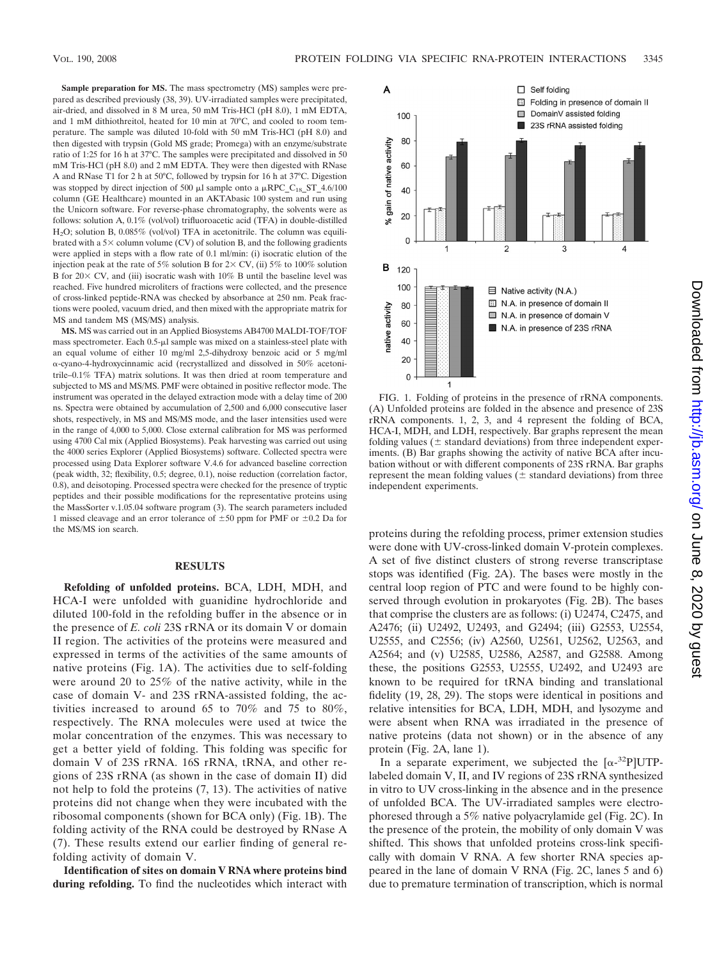**Sample preparation for MS.** The mass spectrometry (MS) samples were prepared as described previously (38, 39). UV-irradiated samples were precipitated, air-dried, and dissolved in 8 M urea, 50 mM Tris-HCl (pH 8.0), 1 mM EDTA, and 1 mM dithiothreitol, heated for 10 min at 70°C, and cooled to room temperature. The sample was diluted 10-fold with 50 mM Tris-HCl (pH 8.0) and then digested with trypsin (Gold MS grade; Promega) with an enzyme/substrate ratio of 1:25 for 16 h at 37°C. The samples were precipitated and dissolved in 50 mM Tris-HCl (pH 8.0) and 2 mM EDTA. They were then digested with RNase A and RNase T1 for 2 h at 50°C, followed by trypsin for 16 h at 37°C. Digestion was stopped by direct injection of 500  $\mu$ l sample onto a  $\mu$ RPC C<sub>18</sub> ST 4.6/100 column (GE Healthcare) mounted in an AKTAbasic 100 system and run using the Unicorn software. For reverse-phase chromatography, the solvents were as follows: solution A, 0.1% (vol/vol) trifluoroacetic acid (TFA) in double-distilled H2O; solution B, 0.085% (vol/vol) TFA in acetonitrile. The column was equilibrated with a  $5\times$  column volume (CV) of solution B, and the following gradients were applied in steps with a flow rate of 0.1 ml/min: (i) isocratic elution of the injection peak at the rate of 5% solution B for  $2 \times$  CV, (ii) 5% to 100% solution B for  $20 \times$  CV, and (iii) isocratic wash with  $10\%$  B until the baseline level was reached. Five hundred microliters of fractions were collected, and the presence of cross-linked peptide-RNA was checked by absorbance at 250 nm. Peak fractions were pooled, vacuum dried, and then mixed with the appropriate matrix for MS and tandem MS (MS/MS) analysis.

**MS.** MS was carried out in an Applied Biosystems AB4700 MALDI-TOF/TOF mass spectrometer. Each 0.5-µl sample was mixed on a stainless-steel plate with an equal volume of either 10 mg/ml 2,5-dihydroxy benzoic acid or 5 mg/ml -cyano-4-hydroxycinnamic acid (recrystallized and dissolved in 50% acetonitrile–0.1% TFA) matrix solutions. It was then dried at room temperature and subjected to MS and MS/MS. PMF were obtained in positive reflector mode. The instrument was operated in the delayed extraction mode with a delay time of 200 ns. Spectra were obtained by accumulation of 2,500 and 6,000 consecutive laser shots, respectively, in MS and MS/MS mode, and the laser intensities used were in the range of 4,000 to 5,000. Close external calibration for MS was performed using 4700 Cal mix (Applied Biosystems). Peak harvesting was carried out using the 4000 series Explorer (Applied Biosystems) software. Collected spectra were processed using Data Explorer software V.4.6 for advanced baseline correction (peak width, 32; flexibility, 0.5; degree, 0.1), noise reduction (correlation factor, 0.8), and deisotoping. Processed spectra were checked for the presence of tryptic peptides and their possible modifications for the representative proteins using the MassSorter v.1.05.04 software program (3). The search parameters included 1 missed cleavage and an error tolerance of  $\pm 50$  ppm for PMF or  $\pm 0.2$  Da for the MS/MS ion search.

## **RESULTS**

**Refolding of unfolded proteins.** BCA, LDH, MDH, and HCA-I were unfolded with guanidine hydrochloride and diluted 100-fold in the refolding buffer in the absence or in the presence of *E. coli* 23S rRNA or its domain V or domain II region. The activities of the proteins were measured and expressed in terms of the activities of the same amounts of native proteins (Fig. 1A). The activities due to self-folding were around 20 to 25% of the native activity, while in the case of domain V- and 23S rRNA-assisted folding, the activities increased to around 65 to 70% and 75 to 80%, respectively. The RNA molecules were used at twice the molar concentration of the enzymes. This was necessary to get a better yield of folding. This folding was specific for domain V of 23S rRNA. 16S rRNA, tRNA, and other regions of 23S rRNA (as shown in the case of domain II) did not help to fold the proteins (7, 13). The activities of native proteins did not change when they were incubated with the ribosomal components (shown for BCA only) (Fig. 1B). The folding activity of the RNA could be destroyed by RNase A (7). These results extend our earlier finding of general refolding activity of domain V.

**Identification of sites on domain V RNA where proteins bind during refolding.** To find the nucleotides which interact with



FIG. 1. Folding of proteins in the presence of rRNA components. (A) Unfolded proteins are folded in the absence and presence of 23S rRNA components. 1, 2, 3, and 4 represent the folding of BCA, HCA-I, MDH, and LDH, respectively. Bar graphs represent the mean folding values ( $\pm$  standard deviations) from three independent experiments. (B) Bar graphs showing the activity of native BCA after incubation without or with different components of 23S rRNA. Bar graphs represent the mean folding values ( $\pm$  standard deviations) from three independent experiments.

proteins during the refolding process, primer extension studies were done with UV-cross-linked domain V-protein complexes. A set of five distinct clusters of strong reverse transcriptase stops was identified (Fig. 2A). The bases were mostly in the central loop region of PTC and were found to be highly conserved through evolution in prokaryotes (Fig. 2B). The bases that comprise the clusters are as follows: (i) U2474, C2475, and A2476; (ii) U2492, U2493, and G2494; (iii) G2553, U2554, U2555, and C2556; (iv) A2560, U2561, U2562, U2563, and A2564; and (v) U2585, U2586, A2587, and G2588. Among these, the positions G2553, U2555, U2492, and U2493 are known to be required for tRNA binding and translational fidelity (19, 28, 29). The stops were identical in positions and relative intensities for BCA, LDH, MDH, and lysozyme and were absent when RNA was irradiated in the presence of native proteins (data not shown) or in the absence of any protein (Fig. 2A, lane 1).

In a separate experiment, we subjected the  $[\alpha^{-32}P] \text{UTP}$ labeled domain V, II, and IV regions of 23S rRNA synthesized in vitro to UV cross-linking in the absence and in the presence of unfolded BCA. The UV-irradiated samples were electrophoresed through a 5% native polyacrylamide gel (Fig. 2C). In the presence of the protein, the mobility of only domain V was shifted. This shows that unfolded proteins cross-link specifically with domain V RNA. A few shorter RNA species appeared in the lane of domain V RNA (Fig. 2C, lanes 5 and 6) due to premature termination of transcription, which is normal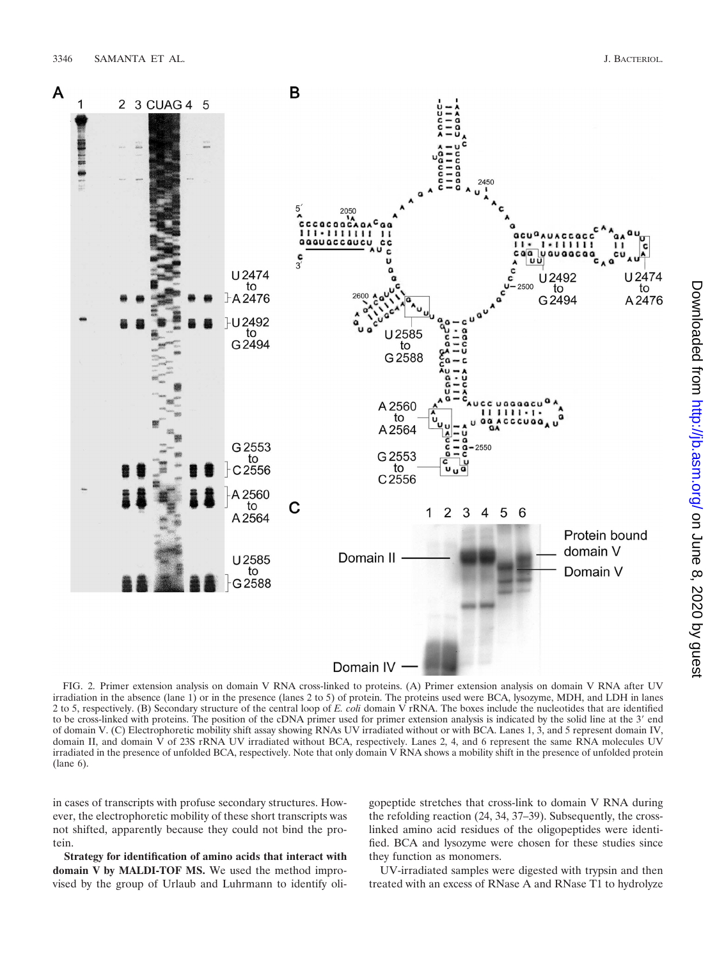

FIG. 2. Primer extension analysis on domain V RNA cross-linked to proteins. (A) Primer extension analysis on domain V RNA after UV irradiation in the absence (lane 1) or in the presence (lanes 2 to 5) of protein. The proteins used were BCA, lysozyme, MDH, and LDH in lanes 2 to 5, respectively. (B) Secondary structure of the central loop of *E. coli* domain V rRNA. The boxes include the nucleotides that are identified to be cross-linked with proteins. The position of the cDNA primer used for primer extension analysis is indicated by the solid line at the 3' end of domain V. (C) Electrophoretic mobility shift assay showing RNAs UV irradiated without or with BCA. Lanes 1, 3, and 5 represent domain IV, domain II, and domain  $\hat{V}$  of 23S rRNA UV irradiated without BCA, respectively. Lanes 2, 4, and 6 represent the same RNA molecules UV irradiated in the presence of unfolded BCA, respectively. Note that only domain V RNA shows a mobility shift in the presence of unfolded protein (lane 6).

in cases of transcripts with profuse secondary structures. However, the electrophoretic mobility of these short transcripts was not shifted, apparently because they could not bind the protein.

**Strategy for identification of amino acids that interact with domain V by MALDI-TOF MS.** We used the method improvised by the group of Urlaub and Luhrmann to identify oligopeptide stretches that cross-link to domain V RNA during the refolding reaction (24, 34, 37–39). Subsequently, the crosslinked amino acid residues of the oligopeptides were identified. BCA and lysozyme were chosen for these studies since they function as monomers.

UV-irradiated samples were digested with trypsin and then treated with an excess of RNase A and RNase T1 to hydrolyze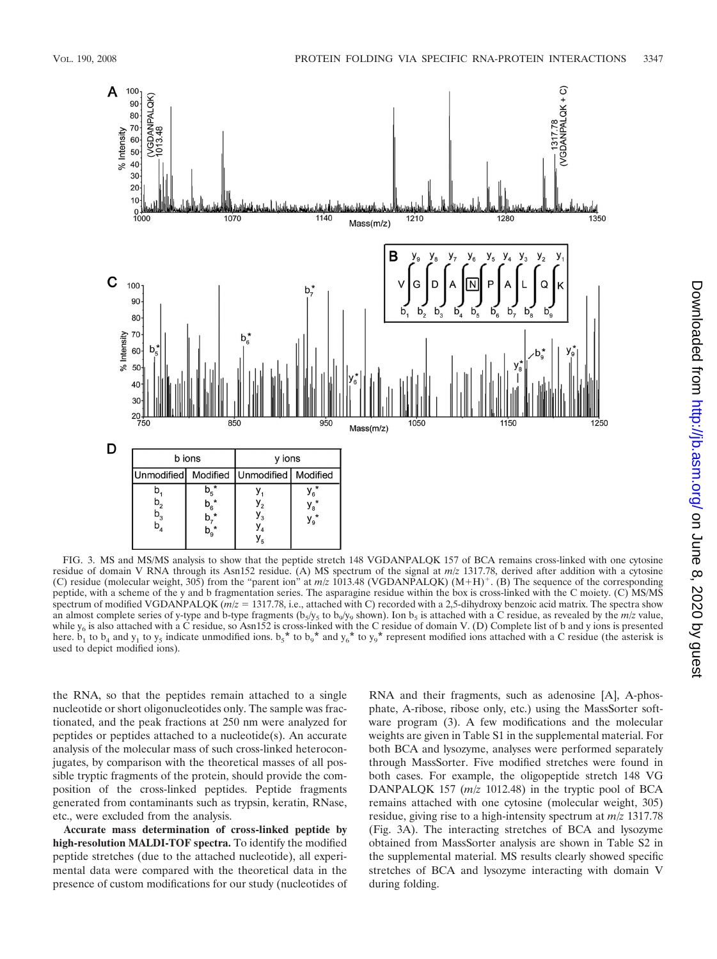

FIG. 3. MS and MS/MS analysis to show that the peptide stretch 148 VGDANPALQK 157 of BCA remains cross-linked with one cytosine residue of domain V RNA through its Asn152 residue. (A) MS spectrum of the signal at *m*/*z* 1317.78, derived after addition with a cytosine (C) residue (molecular weight,  $30\overline{5}$ ) from the "parent ion" at  $m/z$  1013.48 (VGDANPALQK) (M+H)<sup>+</sup>. (B) The sequence of the corresponding peptide, with a scheme of the y and b fragmentation series. The asparagine residue within the box is cross-linked with the C moiety. (C) MS/MS spectrum of modified VGDANPALOK ( $m/z = 1317.78$ , i.e., attached with C) recorded with a 2.5-dihydroxy benzoic acid matrix. The spectra show an almost complete series of y-type and b-type fragments ( $b_5/y_5$  to  $b_9/y_9$  shown). Ion  $b_5$  is attached with a C residue, as revealed by the  $m/z$  value, while  $y_6$  is also attached with a C residue, so Asn152 is cross-linked with the C residue of domain V. (D) Complete list of b and y ions is presented here. b<sub>1</sub> to b<sub>4</sub> and  $y_1$  to  $y_5$  indicate unmodified ions. b<sub>5</sub><sup></sup> used to depict modified ions).

the RNA, so that the peptides remain attached to a single nucleotide or short oligonucleotides only. The sample was fractionated, and the peak fractions at 250 nm were analyzed for peptides or peptides attached to a nucleotide(s). An accurate analysis of the molecular mass of such cross-linked heteroconjugates, by comparison with the theoretical masses of all possible tryptic fragments of the protein, should provide the composition of the cross-linked peptides. Peptide fragments generated from contaminants such as trypsin, keratin, RNase, etc., were excluded from the analysis.

**Accurate mass determination of cross-linked peptide by high-resolution MALDI-TOF spectra.** To identify the modified peptide stretches (due to the attached nucleotide), all experimental data were compared with the theoretical data in the presence of custom modifications for our study (nucleotides of RNA and their fragments, such as adenosine [A], A-phosphate, A-ribose, ribose only, etc.) using the MassSorter software program (3). A few modifications and the molecular weights are given in Table S1 in the supplemental material. For both BCA and lysozyme, analyses were performed separately through MassSorter. Five modified stretches were found in both cases. For example, the oligopeptide stretch 148 VG DANPALQK 157 (*m*/*z* 1012.48) in the tryptic pool of BCA remains attached with one cytosine (molecular weight, 305) residue, giving rise to a high-intensity spectrum at *m*/*z* 1317.78 (Fig. 3A). The interacting stretches of BCA and lysozyme obtained from MassSorter analysis are shown in Table S2 in the supplemental material. MS results clearly showed specific stretches of BCA and lysozyme interacting with domain V during folding.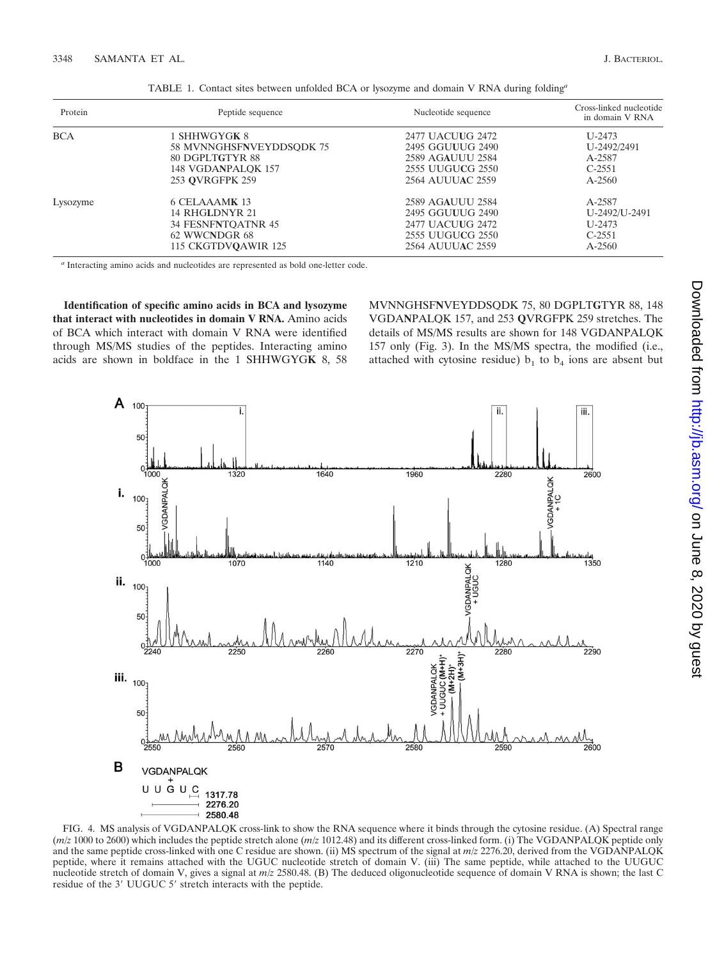| Protein    | Peptide sequence         | Nucleotide sequence     | Cross-linked nucleotide<br>in domain V RNA |
|------------|--------------------------|-------------------------|--------------------------------------------|
| <b>BCA</b> | 1 SHHWGYGK 8             | 2477 UACUUG 2472        | $U - 2473$                                 |
|            | 58 MVNNGHSFNVEYDDSODK 75 | 2495 GGUUUG 2490        | U-2492/2491                                |
|            | 80 DGPLTGTYR 88          | 2589 AGAUUU 2584        | A-2587                                     |
|            | 148 VGDANPALOK 157       | 2555 UUGUCG 2550        | $C-2551$                                   |
|            | 253 OVRGFPK 259          | <b>2564 AUUUAC 2559</b> | $A - 2560$                                 |
| Lysozyme   | 6 CELAAAMK 13            | 2589 AGAUUU 2584        | A-2587                                     |
|            | 14 RHGLDNYR 21           | 2495 GGUUUG 2490        | U-2492/U-2491                              |
|            | 34 FESNFNTOATNR 45       | 2477 UACUUG 2472        | $U - 2473$                                 |
|            | 62 WWCNDGR 68            | 2555 UUGUCG 2550        | $C-2551$                                   |
|            | 115 CKGTDVOAWIR 125      | 2564 AUUUAC 2559        | $A - 2560$                                 |

TABLE 1. Contact sites between unfolded BCA or lysozyme and domain V RNA during folding*<sup>a</sup>*

*<sup>a</sup>* Interacting amino acids and nucleotides are represented as bold one-letter code.

**Identification of specific amino acids in BCA and lysozyme that interact with nucleotides in domain V RNA.** Amino acids of BCA which interact with domain V RNA were identified through MS/MS studies of the peptides. Interacting amino acids are shown in boldface in the 1 SHHWGYG**K** 8, 58 MVNNGHSF**N**VEYDDSQDK 75, 80 DGPLT**G**TYR 88, 148 VGDA**N**PALQK 157, and 253 **Q**VRGFPK 259 stretches. The details of MS/MS results are shown for 148 VGDANPALQK 157 only (Fig. 3). In the MS/MS spectra, the modified (i.e., attached with cytosine residue)  $b_1$  to  $b_4$  ions are absent but



FIG. 4. MS analysis of VGDANPALQK cross-link to show the RNA sequence where it binds through the cytosine residue. (A) Spectral range (*m*/*z* 1000 to 2600) which includes the peptide stretch alone (*m*/*z* 1012.48) and its different cross-linked form. (i) The VGDANPALQK peptide only and the same peptide cross-linked with one C residue are shown. (ii) MS spectrum of the signal at *m*/*z* 2276.20, derived from the VGDANPALQK peptide, where it remains attached with the UGUC nucleotide stretch of domain V. (iii) The same peptide, while attached to the UUGUC nucleotide stretch of domain V, gives a signal at *m*/*z* 2580.48. (B) The deduced oligonucleotide sequence of domain V RNA is shown; the last C residue of the 3' UUGUC 5' stretch interacts with the peptide.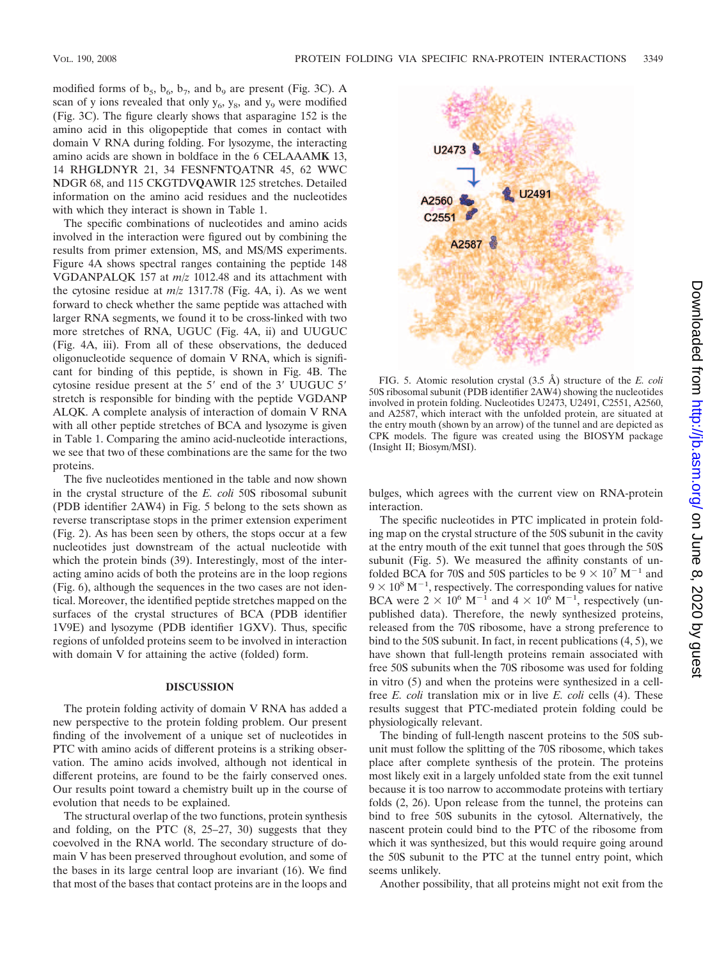modified forms of  $b_5$ ,  $b_6$ ,  $b_7$ , and  $b_9$  are present (Fig. 3C). A scan of y ions revealed that only  $y_6$ ,  $y_8$ , and  $y_9$  were modified (Fig. 3C). The figure clearly shows that asparagine 152 is the amino acid in this oligopeptide that comes in contact with domain V RNA during folding. For lysozyme, the interacting amino acids are shown in boldface in the 6 CELAAAM**K** 13, 14 RHG**L**DNYR 21, 34 FESNF**N**TQATNR 45, 62 WWC **N**DGR 68, and 115 CKGTDV**Q**AWIR 125 stretches. Detailed information on the amino acid residues and the nucleotides with which they interact is shown in Table 1.

The specific combinations of nucleotides and amino acids involved in the interaction were figured out by combining the results from primer extension, MS, and MS/MS experiments. Figure 4A shows spectral ranges containing the peptide 148 VGDANPALQK 157 at *m*/*z* 1012.48 and its attachment with the cytosine residue at *m*/*z* 1317.78 (Fig. 4A, i). As we went forward to check whether the same peptide was attached with larger RNA segments, we found it to be cross-linked with two more stretches of RNA, UGUC (Fig. 4A, ii) and UUGUC (Fig. 4A, iii). From all of these observations, the deduced oligonucleotide sequence of domain V RNA, which is significant for binding of this peptide, is shown in Fig. 4B. The cytosine residue present at the 5' end of the 3' UUGUC 5' stretch is responsible for binding with the peptide VGDANP ALQK. A complete analysis of interaction of domain V RNA with all other peptide stretches of BCA and lysozyme is given in Table 1. Comparing the amino acid-nucleotide interactions, we see that two of these combinations are the same for the two proteins.

The five nucleotides mentioned in the table and now shown in the crystal structure of the *E. coli* 50S ribosomal subunit (PDB identifier 2AW4) in Fig. 5 belong to the sets shown as reverse transcriptase stops in the primer extension experiment (Fig. 2). As has been seen by others, the stops occur at a few nucleotides just downstream of the actual nucleotide with which the protein binds (39). Interestingly, most of the interacting amino acids of both the proteins are in the loop regions (Fig. 6), although the sequences in the two cases are not identical. Moreover, the identified peptide stretches mapped on the surfaces of the crystal structures of BCA (PDB identifier 1V9E) and lysozyme (PDB identifier 1GXV). Thus, specific regions of unfolded proteins seem to be involved in interaction with domain V for attaining the active (folded) form.

## **DISCUSSION**

The protein folding activity of domain V RNA has added a new perspective to the protein folding problem. Our present finding of the involvement of a unique set of nucleotides in PTC with amino acids of different proteins is a striking observation. The amino acids involved, although not identical in different proteins, are found to be the fairly conserved ones. Our results point toward a chemistry built up in the course of evolution that needs to be explained.

The structural overlap of the two functions, protein synthesis and folding, on the PTC (8, 25–27, 30) suggests that they coevolved in the RNA world. The secondary structure of domain V has been preserved throughout evolution, and some of the bases in its large central loop are invariant (16). We find that most of the bases that contact proteins are in the loops and



FIG. 5. Atomic resolution crystal (3.5 Å) structure of the *E. coli* 50S ribosomal subunit (PDB identifier 2AW4) showing the nucleotides involved in protein folding. Nucleotides U2473, U2491, C2551, A2560, and A2587, which interact with the unfolded protein, are situated at the entry mouth (shown by an arrow) of the tunnel and are depicted as CPK models. The figure was created using the BIOSYM package (Insight II; Biosym/MSI).

bulges, which agrees with the current view on RNA-protein interaction.

The specific nucleotides in PTC implicated in protein folding map on the crystal structure of the 50S subunit in the cavity at the entry mouth of the exit tunnel that goes through the 50S subunit (Fig. 5). We measured the affinity constants of unfolded BCA for 70S and 50S particles to be  $9 \times 10^7$  M<sup>-1</sup> and  $9 \times 10^8$  M<sup>-1</sup>, respectively. The corresponding values for native BCA were  $2 \times 10^6$  M<sup>-1</sup> and  $4 \times 10^6$  M<sup>-1</sup>, respectively (unpublished data). Therefore, the newly synthesized proteins, released from the 70S ribosome, have a strong preference to bind to the 50S subunit. In fact, in recent publications (4, 5), we have shown that full-length proteins remain associated with free 50S subunits when the 70S ribosome was used for folding in vitro (5) and when the proteins were synthesized in a cellfree *E. coli* translation mix or in live *E. coli* cells (4). These results suggest that PTC-mediated protein folding could be physiologically relevant.

The binding of full-length nascent proteins to the 50S subunit must follow the splitting of the 70S ribosome, which takes place after complete synthesis of the protein. The proteins most likely exit in a largely unfolded state from the exit tunnel because it is too narrow to accommodate proteins with tertiary folds (2, 26). Upon release from the tunnel, the proteins can bind to free 50S subunits in the cytosol. Alternatively, the nascent protein could bind to the PTC of the ribosome from which it was synthesized, but this would require going around the 50S subunit to the PTC at the tunnel entry point, which seems unlikely.

Another possibility, that all proteins might not exit from the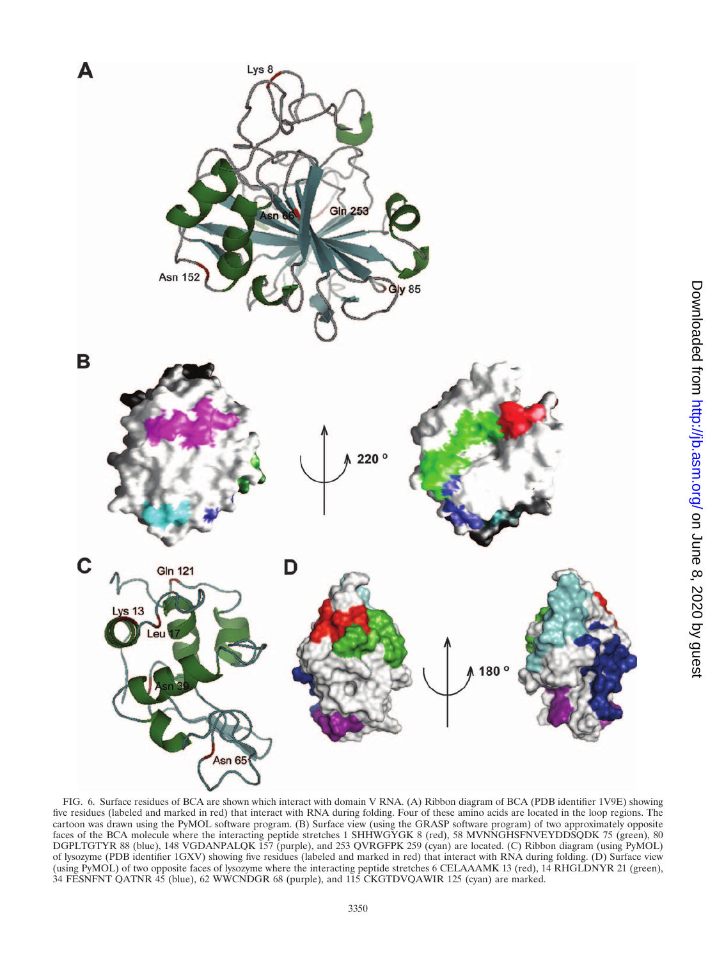

FIG. 6. Surface residues of BCA are shown which interact with domain V RNA. (A) Ribbon diagram of BCA (PDB identifier 1V9E) showing five residues (labeled and marked in red) that interact with RNA during folding. Four of these amino acids are located in the loop regions. The cartoon was drawn using the PyMOL software program. (B) Surface view (using the GRASP software program) of two approximately opposite faces of the BCA molecule where the interacting peptide stretches 1 SHHWGYGK 8 (red), 58 MVNNGHSFNVEYDDSQDK 75 (green), 80 DGPLTGTYR 88 (blue), 148 VGDANPALQK 157 (purple), and 253 QVRGFPK 259 (cyan) are located. (C) Ribbon diagram (using PyMOL) of lysozyme (PDB identifier 1GXV) showing five residues (labeled and marked in red) that interact with RNA during folding. (D) Surface view (using PyMOL) of two opposite faces of lysozyme where the interacting peptide stretches 6 CELAAAMK 13 (red), 14 RHGLDNYR 21 (green), 34 FESNFNT QATNR 45 (blue), 62 WWCNDGR 68 (purple), and 115 CKGTDVQAWIR 125 (cyan) are marked.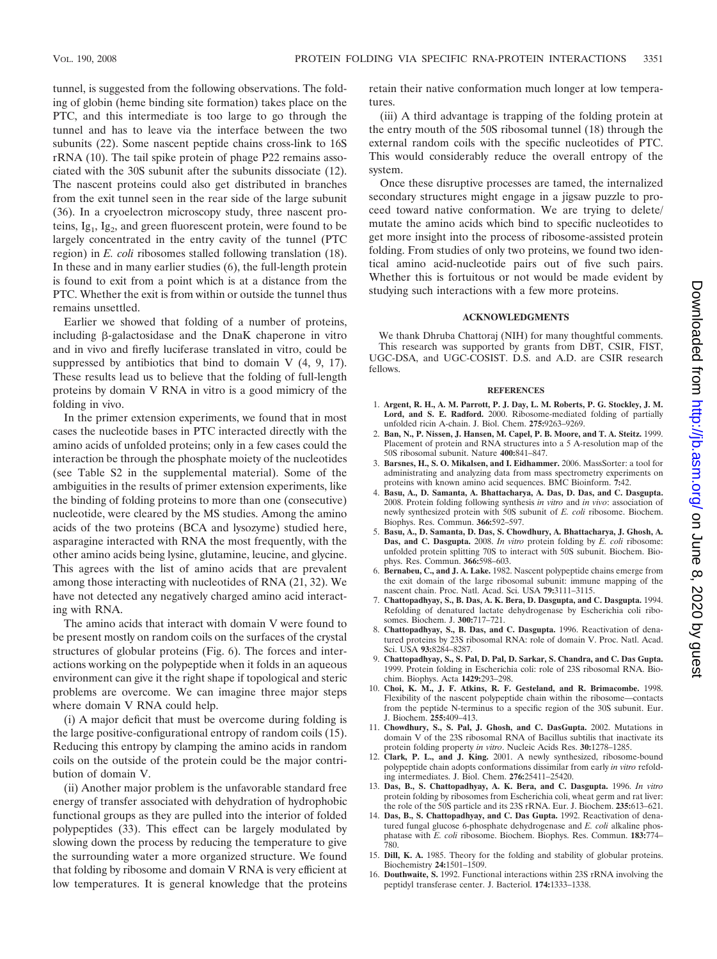tunnel, is suggested from the following observations. The folding of globin (heme binding site formation) takes place on the PTC, and this intermediate is too large to go through the tunnel and has to leave via the interface between the two subunits (22). Some nascent peptide chains cross-link to 16S rRNA (10). The tail spike protein of phage P22 remains associated with the 30S subunit after the subunits dissociate (12). The nascent proteins could also get distributed in branches from the exit tunnel seen in the rear side of the large subunit (36). In a cryoelectron microscopy study, three nascent proteins,  $I_{g1}$ ,  $I_{g2}$ , and green fluorescent protein, were found to be largely concentrated in the entry cavity of the tunnel (PTC region) in *E. coli* ribosomes stalled following translation (18). In these and in many earlier studies (6), the full-length protein is found to exit from a point which is at a distance from the PTC. Whether the exit is from within or outside the tunnel thus remains unsettled.

Earlier we showed that folding of a number of proteins, including  $\beta$ -galactosidase and the DnaK chaperone in vitro and in vivo and firefly luciferase translated in vitro, could be suppressed by antibiotics that bind to domain  $V$  (4, 9, 17). These results lead us to believe that the folding of full-length proteins by domain V RNA in vitro is a good mimicry of the folding in vivo.

In the primer extension experiments, we found that in most cases the nucleotide bases in PTC interacted directly with the amino acids of unfolded proteins; only in a few cases could the interaction be through the phosphate moiety of the nucleotides (see Table S2 in the supplemental material). Some of the ambiguities in the results of primer extension experiments, like the binding of folding proteins to more than one (consecutive) nucleotide, were cleared by the MS studies. Among the amino acids of the two proteins (BCA and lysozyme) studied here, asparagine interacted with RNA the most frequently, with the other amino acids being lysine, glutamine, leucine, and glycine. This agrees with the list of amino acids that are prevalent among those interacting with nucleotides of RNA (21, 32). We have not detected any negatively charged amino acid interacting with RNA.

The amino acids that interact with domain V were found to be present mostly on random coils on the surfaces of the crystal structures of globular proteins (Fig. 6). The forces and interactions working on the polypeptide when it folds in an aqueous environment can give it the right shape if topological and steric problems are overcome. We can imagine three major steps where domain V RNA could help.

(i) A major deficit that must be overcome during folding is the large positive-configurational entropy of random coils (15). Reducing this entropy by clamping the amino acids in random coils on the outside of the protein could be the major contribution of domain V.

(ii) Another major problem is the unfavorable standard free energy of transfer associated with dehydration of hydrophobic functional groups as they are pulled into the interior of folded polypeptides (33). This effect can be largely modulated by slowing down the process by reducing the temperature to give the surrounding water a more organized structure. We found that folding by ribosome and domain V RNA is very efficient at low temperatures. It is general knowledge that the proteins

retain their native conformation much longer at low temperatures.

(iii) A third advantage is trapping of the folding protein at the entry mouth of the 50S ribosomal tunnel (18) through the external random coils with the specific nucleotides of PTC. This would considerably reduce the overall entropy of the system.

Once these disruptive processes are tamed, the internalized secondary structures might engage in a jigsaw puzzle to proceed toward native conformation. We are trying to delete/ mutate the amino acids which bind to specific nucleotides to get more insight into the process of ribosome-assisted protein folding. From studies of only two proteins, we found two identical amino acid-nucleotide pairs out of five such pairs. Whether this is fortuitous or not would be made evident by studying such interactions with a few more proteins.

### **ACKNOWLEDGMENTS**

We thank Dhruba Chattoraj (NIH) for many thoughtful comments. This research was supported by grants from DBT, CSIR, FIST, UGC-DSA, and UGC-COSIST. D.S. and A.D. are CSIR research fellows.

#### **REFERENCES**

- 1. **Argent, R. H., A. M. Parrott, P. J. Day, L. M. Roberts, P. G. Stockley, J. M. Lord, and S. E. Radford.** 2000. Ribosome-mediated folding of partially unfolded ricin A-chain. J. Biol. Chem. **275:**9263–9269.
- 2. **Ban, N., P. Nissen, J. Hansen, M. Capel, P. B. Moore, and T. A. Steitz.** 1999. Placement of protein and RNA structures into a 5 A-resolution map of the 50S ribosomal subunit. Nature **400:**841–847.
- 3. **Barsnes, H., S. O. Mikalsen, and I. Eidhammer.** 2006. MassSorter: a tool for administrating and analyzing data from mass spectrometry experiments on proteins with known amino acid sequences. BMC Bioinform. **7:**42.
- 4. **Basu, A., D. Samanta, A. Bhattacharya, A. Das, D. Das, and C. Dasgupta.** 2008. Protein folding following synthesis *in vitro* and *in vivo*: association of newly synthesized protein with 50S subunit of *E. coli* ribosome. Biochem. Biophys. Res. Commun. **366:**592–597.
- 5. **Basu, A., D. Samanta, D. Das, S. Chowdhury, A. Bhattacharya, J. Ghosh, A. Das, and C. Dasgupta.** 2008. *In vitro* protein folding by *E. coli* ribosome: unfolded protein splitting 70S to interact with 50S subunit. Biochem. Biophys. Res. Commun. **366:**598–603.
- 6. **Bernabeu, C., and J. A. Lake.** 1982. Nascent polypeptide chains emerge from the exit domain of the large ribosomal subunit: immune mapping of the nascent chain. Proc. Natl. Acad. Sci. USA **79:**3111–3115.
- 7. **Chattopadhyay, S., B. Das, A. K. Bera, D. Dasgupta, and C. Dasgupta.** 1994. Refolding of denatured lactate dehydrogenase by Escherichia coli ribosomes. Biochem. J. **300:**717–721.
- 8. **Chattopadhyay, S., B. Das, and C. Dasgupta.** 1996. Reactivation of denatured proteins by 23S ribosomal RNA: role of domain V. Proc. Natl. Acad. Sci. USA **93:**8284–8287.
- 9. **Chattopadhyay, S., S. Pal, D. Pal, D. Sarkar, S. Chandra, and C. Das Gupta.** 1999. Protein folding in Escherichia coli: role of 23S ribosomal RNA. Biochim. Biophys. Acta **1429:**293–298.
- 10. **Choi, K. M., J. F. Atkins, R. F. Gesteland, and R. Brimacombe.** 1998. Flexibility of the nascent polypeptide chain within the ribosome—contacts from the peptide N-terminus to a specific region of the 30S subunit. Eur. J. Biochem. **255:**409–413.
- 11. **Chowdhury, S., S. Pal, J. Ghosh, and C. DasGupta.** 2002. Mutations in domain V of the 23S ribosomal RNA of Bacillus subtilis that inactivate its protein folding property *in vitro*. Nucleic Acids Res. **30:**1278–1285.
- 12. **Clark, P. L., and J. King.** 2001. A newly synthesized, ribosome-bound polypeptide chain adopts conformations dissimilar from early *in vitro* refolding intermediates. J. Biol. Chem. **276:**25411–25420.
- 13. **Das, B., S. Chattopadhyay, A. K. Bera, and C. Dasgupta.** 1996. *In vitro* protein folding by ribosomes from Escherichia coli, wheat germ and rat liver: the role of the 50S particle and its 23S rRNA. Eur. J. Biochem. **235:**613–621.
- 14. **Das, B., S. Chattopadhyay, and C. Das Gupta.** 1992. Reactivation of denatured fungal glucose 6-phosphate dehydrogenase and *E. coli* alkaline phosphatase with *E. coli* ribosome. Biochem. Biophys. Res. Commun. **183:**774– 780.
- 15. **Dill, K. A.** 1985. Theory for the folding and stability of globular proteins. Biochemistry **24:**1501–1509.
- 16. **Douthwaite, S.** 1992. Functional interactions within 23S rRNA involving the peptidyl transferase center. J. Bacteriol. **174:**1333–1338.